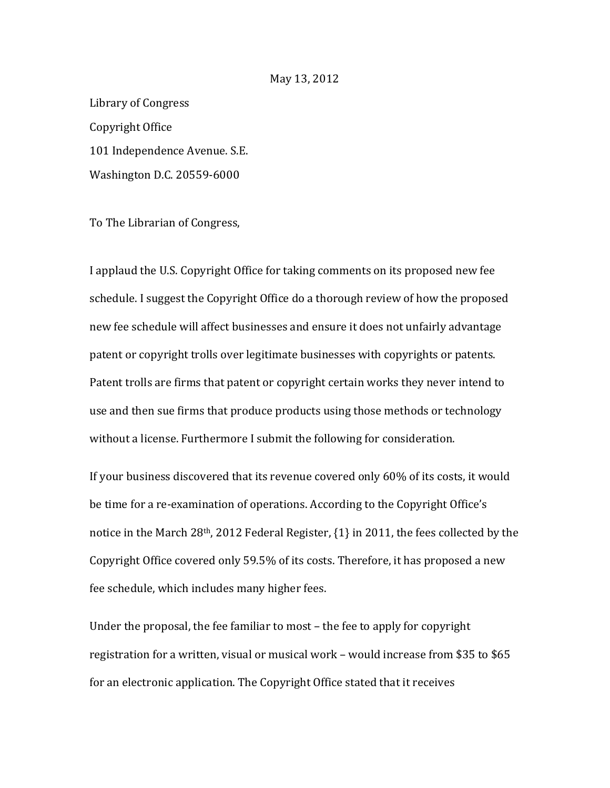Library of Congress Copyright Office 101 Independence Avenue. S.E. Washington D.C. 20559‐6000

To The Librarian of Congress,

I applaud the U.S. Copyright Office for taking comments on its proposed new fee schedule. I suggest the Copyright Office do a thorough review of how the proposed new fee schedule will affect businesses and ensure it does not unfairly advantage patent or copyright trolls over legitimate businesses with copyrights or patents. Patent trolls are firms that patent or copyright certain works they never intend to use and then sue firms that produce products using those methods or technology without a license. Furthermore I submit the following for consideration.

If your business discovered that its revenue covered only 60% of its costs, it would be time for a re-examination of operations. According to the Copyright Office's notice in the March 28th, 2012 Federal Register, {1} in 2011, the fees collected by the Copyright Office covered only 59.5% of its costs. Therefore, it has proposed a new fee schedule, which includes many higher fees.

Under the proposal, the fee familiar to most – the fee to apply for copyright registration for a written, visual or musical work – would increase from \$35 to \$65 for an electronic application. The Copyright Office stated that it receives

## May 13, 2012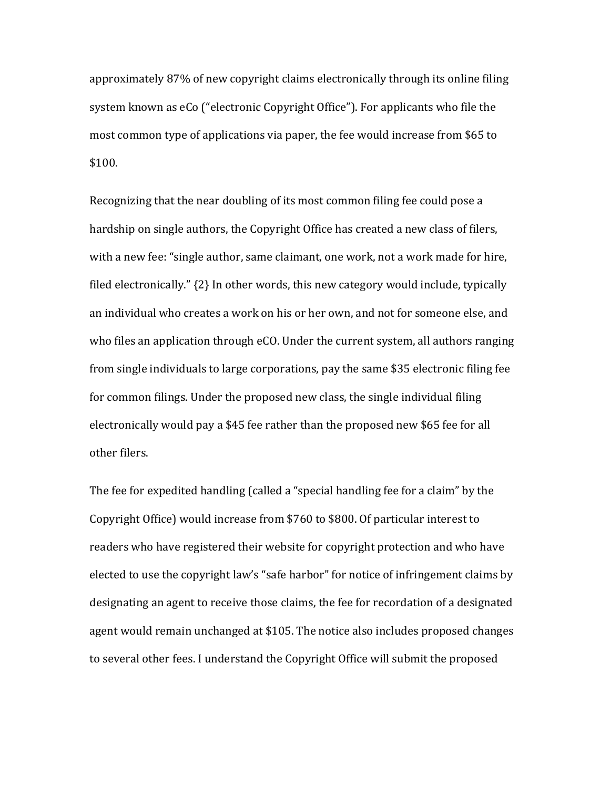approximately 87% of new copyright claims electronically through its online filing system known as eCo ("electronic Copyright Office"). For applicants who file the most common type of applications via paper, the fee would increase from \$65 to \$100.

Recognizing that the near doubling of its most common filing fee could pose a hardship on single authors, the Copyright Office has created a new class of filers, with a new fee: "single author, same claimant, one work, not a work made for hire, filed electronically." {2} In other words, this new category would include, typically an individual who creates a work on his or her own, and not for someone else, and who files an application through eCO. Under the current system, all authors ranging from single individuals to large corporations, pay the same \$35 electronic filing fee for common filings. Under the proposed new class, the single individual filing electronically would pay a \$45 fee rather than the proposed new \$65 fee for all other filers.

The fee for expedited handling (called a "special handling fee for a claim" by the Copyright Office) would increase from \$760 to \$800. Of particular interest to readers who have registered their website for copyright protection and who have elected to use the copyright law's "safe harbor" for notice of infringement claims by designating an agent to receive those claims, the fee for recordation of a designated agent would remain unchanged at \$105. The notice also includes proposed changes to several other fees. I understand the Copyright Office will submit the proposed